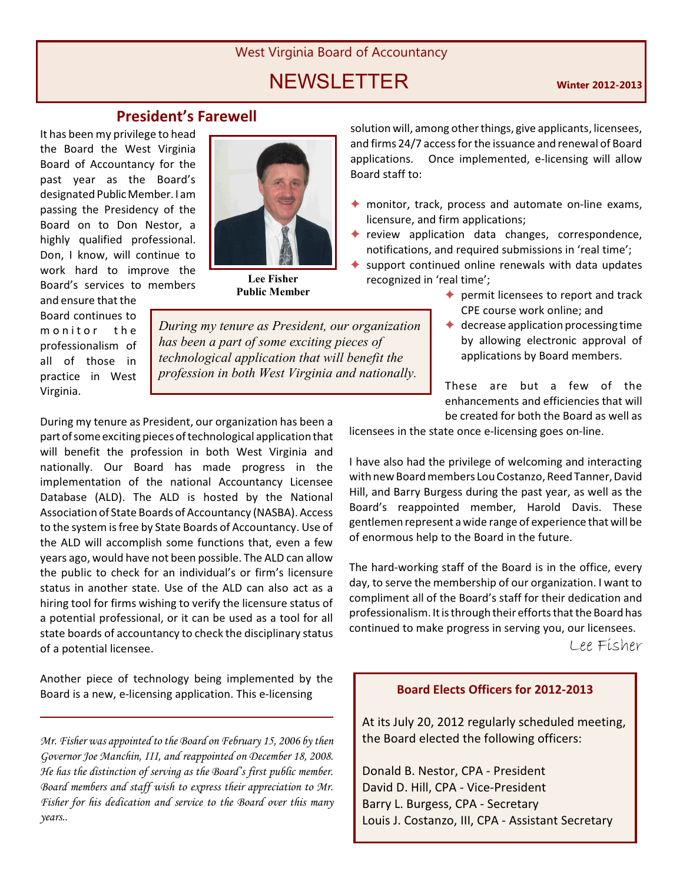# West Virginia Board of Accountancy

# **NEWSLETTER Winter 2012-2013**

# **President's Farewell**

It has been my privilege to head the Board the West Virginia Board of Accountancy for the past year as the Board's designated Public Member. I am passing the Presidency of the Board on to Don Nestor, a highly qualified professional. Don, I know, will continue to work hard to improve the Board's services to members

and ensure that the Board continues to m on it or the professionalism of all of those in practice in West Virginia.



**Lee Fisher Public Member**

solution will, among other things, give applicants, licensees, and firms 24/7 access for the issuance and renewal of Board applications. Once implemented, e-licensing will allow Board staff to:

- $\triangle$  monitor, track, process and automate on-line exams, licensure, and firm applications;
- $\triangle$  review application data changes, correspondence, notifications, and required submissions in 'real time';
- support continued online renewals with data updates recognized in 'real time';
	- $\triangle$  permit licensees to report and track CPE course work online; and
	- $\triangleleft$  decrease application processing time by allowing electronic approval of applications by Board members.

These are but a few of the enhancements and efficiencies that will be created for both the Board as well as

licensees in the state once e-licensing goes on-line.

I have also had the privilege of welcoming and interacting with new Board members Lou Costanzo, Reed Tanner, David Hill, and Barry Burgess during the past year, as well as the Board's reappointed member, Harold Davis. These gentlemen represent a wide range of experience that will be of enormous help to the Board in the future.

The hard-working staff of the Board is in the office, every day, to serve the membership of our organization. I want to compliment all of the Board's staff for their dedication and professionalism. It is through their efforts that the Board has continued to make progress in serving you, our licensees.

Lee Fisher

# **Board Elects Officers for 2012-2013**

At its July 20, 2012 regularly scheduled meeting, the Board elected the following officers:

Donald B. Nestor, CPA - President David D. Hill, CPA - Vice-President Barry L. Burgess, CPA - Secretary Louis J. Costanzo, III, CPA - Assistant Secretary

*During my tenure as President, our organization has been a part of some exciting pieces of technological application that will benefit the profession in both West Virginia and nationally.*

During my tenure as President, our organization has been a part of some exciting pieces of technological application that will benefit the profession in both West Virginia and nationally. Our Board has made progress in the implementation of the national Accountancy Licensee Database (ALD). The ALD is hosted by the National Association of State Boards of Accountancy (NASBA). Access to the system is free by State Boards of Accountancy. Use of the ALD will accomplish some functions that, even a few years ago, would have not been possible. The ALD can allow the public to check for an individual's or firm's licensure status in another state. Use of the ALD can also act as a hiring tool for firms wishing to verify the licensure status of a potential professional, or it can be used as a tool for all state boards of accountancy to check the disciplinary status of a potential licensee.

Another piece of technology being implemented by the Board is a new, e-licensing application. This e-licensing

*Mr. Fisher was appointed to the Board on February 15, 2006 by then Governor Joe Manchin, III, and reappointed on December 18, 2008. He has the distinction of serving as the Board's first public member. Board members and staff wish to express their appreciation to Mr. Fisher for his dedication and service to the Board over this many years..*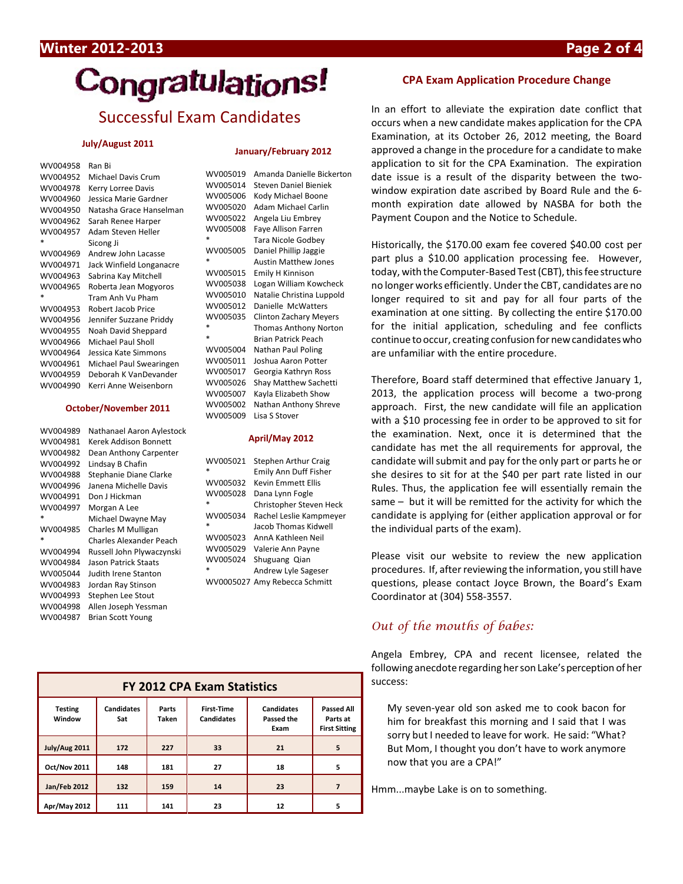# Congratulations!

# Successful Exam Candidates

#### **July/August 2011**

| WV004958 | Ran Ri                   |
|----------|--------------------------|
| WV004952 | Michael Davis Crum       |
| WV004978 | Kerry Lorree Davis       |
| WV004960 | Jessica Marie Gardner    |
| WV004950 | Natasha Grace Hanselman  |
| WV004962 | Sarah Renee Harper       |
| WV004957 | Adam Steven Heller       |
| *        | Sicong Ji                |
| WV004969 | Andrew John Lacasse      |
| WV004971 | Jack Winfield Longanacre |
| WV004963 | Sabrina Kay Mitchell     |
| WV004965 | Roberta Jean Mogyoros    |
| *        | Tram Anh Vu Pham         |
| WV004953 | Robert Jacob Price       |
| WV004956 | Jennifer Suzzane Priddy  |
| WV004955 | Noah David Sheppard      |
|          |                          |
| WV004966 | Michael Paul Sholl       |
| WV004964 | Jessica Kate Simmons     |
| WV004961 | Michael Paul Swearingen  |
| WV004959 | Deborah K VanDevander    |
| WV004990 | Kerri Anne Weisenborn    |

#### **October/November 2011**

| WV004989 | Nathanael Aaron Aylestock |
|----------|---------------------------|
| WV004981 | Kerek Addison Bonnett     |
| WV004982 | Dean Anthony Carpenter    |
| WV004992 | Lindsay B Chafin          |
| WV004988 | Stephanie Diane Clarke    |
| WV004996 | Janena Michelle Davis     |
| WV004991 | Don J Hickman             |
| WV004997 | Morgan A Lee              |
| $\ast$   | Michael Dwayne May        |
|          |                           |
| WV004985 | Charles M Mulligan        |
| $\ast$   | Charles Alexander Peach   |
| WV004994 | Russell John Plywaczynski |
| WV004984 | Jason Patrick Staats      |
| WV005044 | Judith Irene Stanton      |
| WV004983 | Jordan Ray Stinson        |
| WV004993 | Stephen Lee Stout         |
| WV004998 | Allen Joseph Yessman      |

#### **January/February 2012**

| WV005019 | Amanda Danielle Bickerton     |
|----------|-------------------------------|
| WV005014 | Steven Daniel Bieniek         |
| WV005006 | Kody Michael Boone            |
| WV005020 | Adam Michael Carlin           |
| WV005022 | Angela Liu Embrey             |
| WV005008 | Faye Allison Farren           |
| $\ast$   | Tara Nicole Godbey            |
| WV005005 | Daniel Phillip Jaggie         |
| $\ast$   | <b>Austin Matthew Jones</b>   |
| WV005015 | Emily H Kinnison              |
| WV005038 | Logan William Kowcheck        |
| WV005010 | Natalie Christina Luppold     |
| WV005012 | Danielle McWatters            |
| WV005035 | <b>Clinton Zachary Meyers</b> |
|          | <b>Thomas Anthony Norton</b>  |
| ż        | <b>Brian Patrick Peach</b>    |
| WV005004 | Nathan Paul Poling            |
| WV005011 | Joshua Aaron Potter           |
| WV005017 | Georgia Kathryn Ross          |
| WV005026 | Shay Matthew Sachetti         |
| WV005007 | Kayla Elizabeth Show          |
| WV005002 | Nathan Anthony Shreve         |
| WV005009 | Lisa S Stover                 |
|          |                               |

#### **April/May 2012**

| WV005021<br>× | <b>Stephen Arthur Craig</b><br>Emily Ann Duff Fisher |
|---------------|------------------------------------------------------|
| WV005032      | <b>Kevin Emmett Ellis</b>                            |
| WV005028      | Dana Lynn Fogle                                      |
|               | Christopher Steven Heck                              |
| WV005034      | Rachel Leslie Kampmeyer                              |
| $\ast$        | Jacob Thomas Kidwell                                 |
| WV005023      | AnnA Kathleen Neil                                   |
| WV005029      | Valerie Ann Payne                                    |
| WV005024      | Shuguang Qian                                        |
| $\ast$        | Andrew Lyle Sageser                                  |
|               | WV0005027 Amy Rebecca Schmitt                        |
|               |                                                      |

| <b>FY 2012 CPA Exam Statistics</b> |                          |                |                                        |                                         |                                                       |
|------------------------------------|--------------------------|----------------|----------------------------------------|-----------------------------------------|-------------------------------------------------------|
| <b>Testing</b><br>Window           | <b>Candidates</b><br>Sat | Parts<br>Taken | <b>First-Time</b><br><b>Candidates</b> | <b>Candidates</b><br>Passed the<br>Exam | <b>Passed All</b><br>Parts at<br><b>First Sitting</b> |
| July/Aug 2011                      | 172                      | 227            | 33                                     | 21                                      | 5                                                     |
| <b>Oct/Nov 2011</b>                | 148                      | 181            | 27                                     | 18                                      | 5                                                     |
| <b>Jan/Feb 2012</b>                | 132                      | 159            | 14                                     | 23                                      |                                                       |
| Apr/May 2012                       | 111                      | 141            | 23                                     | 12                                      | 5                                                     |

### **CPA Exam Application Procedure Change**

In an effort to alleviate the expiration date conflict that occurs when a new candidate makes application for the CPA Examination, at its October 26, 2012 meeting, the Board approved a change in the procedure for a candidate to make application to sit for the CPA Examination. The expiration date issue is a result of the disparity between the twowindow expiration date ascribed by Board Rule and the 6 month expiration date allowed by NASBA for both the Payment Coupon and the Notice to Schedule.

Historically, the \$170.00 exam fee covered \$40.00 cost per part plus a \$10.00 application processing fee. However, today, with the Computer-Based Test (CBT), this fee structure no longer works efficiently. Under the CBT, candidates are no longer required to sit and pay for all four parts of the examination at one sitting. By collecting the entire \$170.00 for the initial application, scheduling and fee conflicts continue to occur, creating confusion for new candidates who are unfamiliar with the entire procedure.

Therefore, Board staff determined that effective January 1, 2013, the application process will become a two-prong approach. First, the new candidate will file an application with a \$10 processing fee in order to be approved to sit for the examination. Next, once it is determined that the candidate has met the all requirements for approval, the candidate will submit and pay for the only part or parts he or she desires to sit for at the \$40 per part rate listed in our Rules. Thus, the application fee will essentially remain the same – but it will be remitted for the activity for which the candidate is applying for (either application approval or for the individual parts of the exam).

Please visit our website to review the new application procedures. If, after reviewing the information, you still have questions, please contact Joyce Brown, the Board's Exam Coordinator at (304) 558-3557.

# *Out of the mouths of babes:*

Angela Embrey, CPA and recent licensee, related the following anecdote regarding her son Lake's perception of her success:

My seven-year old son asked me to cook bacon for him for breakfast this morning and I said that I was sorry but I needed to leave for work. He said: "What? But Mom, I thought you don't have to work anymore now that you are a CPA!"

Hmm...maybe Lake is on to something.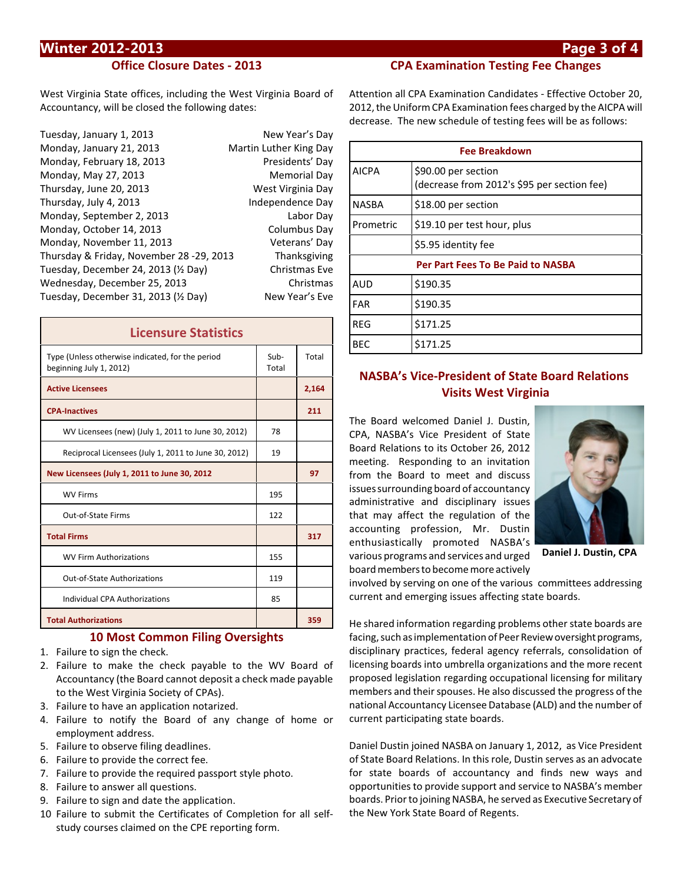# **Winter 2012-2013 Page 3 of 4**

## **Office Closure Dates - 2013**

West Virginia State offices, including the West Virginia Board of Accountancy, will be closed the following dates:

| Tuesday, January 1, 2013                 | New Year's Day         |
|------------------------------------------|------------------------|
| Monday, January 21, 2013                 | Martin Luther King Day |
| Monday, February 18, 2013                | Presidents' Day        |
| Monday, May 27, 2013                     | <b>Memorial Day</b>    |
| Thursday, June 20, 2013                  | West Virginia Day      |
| Thursday, July 4, 2013                   | Independence Day       |
| Monday, September 2, 2013                | Labor Day              |
| Monday, October 14, 2013                 | Columbus Day           |
| Monday, November 11, 2013                | Veterans' Day          |
| Thursday & Friday, November 28 -29, 2013 | Thanksgiving           |
| Tuesday, December 24, 2013 (1/2 Day)     | <b>Christmas Eve</b>   |
| Wednesday, December 25, 2013             | Christmas              |
| Tuesday, December 31, 2013 (1/2 Day)     | New Year's Eve         |
|                                          |                        |

| <b>Licensure Statistics</b>                                                 |               |       |
|-----------------------------------------------------------------------------|---------------|-------|
| Type (Unless otherwise indicated, for the period<br>beginning July 1, 2012) | Sub-<br>Total | Total |
| <b>Active Licensees</b>                                                     |               | 2,164 |
| <b>CPA-Inactives</b>                                                        |               | 211   |
| WV Licensees (new) (July 1, 2011 to June 30, 2012)                          | 78            |       |
| Reciprocal Licensees (July 1, 2011 to June 30, 2012)                        | 19            |       |
| New Licensees (July 1, 2011 to June 30, 2012                                |               | 97    |
| <b>WV Firms</b>                                                             | 195           |       |
| Out-of-State Firms                                                          | 122           |       |
| <b>Total Firms</b>                                                          |               | 317   |
| <b>WV Firm Authorizations</b>                                               | 155           |       |
| Out-of-State Authorizations                                                 | 119           |       |
| Individual CPA Authorizations                                               | 85            |       |
| <b>Total Authorizations</b>                                                 |               | 359   |

### **10 Most Common Filing Oversights**

- 1. Failure to sign the check.
- 2. Failure to make the check payable to the WV Board of Accountancy (the Board cannot deposit a check made payable to the West Virginia Society of CPAs).
- 3. Failure to have an application notarized.
- 4. Failure to notify the Board of any change of home or employment address.
- 5. Failure to observe filing deadlines.
- 6. Failure to provide the correct fee.
- 7. Failure to provide the required passport style photo.
- 8. Failure to answer all questions.
- 9. Failure to sign and date the application.
- 10 Failure to submit the Certificates of Completion for all selfstudy courses claimed on the CPE reporting form.

Attention all CPA Examination Candidates - Effective October 20, 2012, the Uniform CPA Examination fees charged by the AICPA will decrease. The new schedule of testing fees will be as follows:

**CPA Examination Testing Fee Changes**

| <b>Fee Breakdown</b>                     |                                                                    |  |
|------------------------------------------|--------------------------------------------------------------------|--|
| AICPA                                    | \$90.00 per section<br>(decrease from 2012's \$95 per section fee) |  |
| NASBA                                    | \$18.00 per section                                                |  |
| Prometric                                | \$19.10 per test hour, plus                                        |  |
|                                          | \$5.95 identity fee                                                |  |
| <b>Per Part Fees To Be Paid to NASBA</b> |                                                                    |  |
| <b>AUD</b>                               | \$190.35                                                           |  |
| <b>FAR</b>                               | \$190.35                                                           |  |
| RFG                                      | \$171.25                                                           |  |
| <b>BEC</b>                               | \$171.25                                                           |  |

# **NASBA's Vice-President of State Board Relations Visits West Virginia**

The Board welcomed Daniel J. Dustin, CPA, NASBA's Vice President of State Board Relations to its October 26, 2012 meeting. Responding to an invitation from the Board to meet and discuss issues surrounding board of accountancy administrative and disciplinary issues that may affect the regulation of the accounting profession, Mr. Dustin enthusiastically promoted NASBA's various programs and services and urged board members to become more actively



**Daniel J. Dustin, CPA**

involved by serving on one of the various committees addressing current and emerging issues affecting state boards.

He shared information regarding problems other state boards are facing, such as implementation of Peer Review oversight programs, disciplinary practices, federal agency referrals, consolidation of licensing boards into umbrella organizations and the more recent proposed legislation regarding occupational licensing for military members and their spouses. He also discussed the progress of the national Accountancy Licensee Database (ALD) and the number of current participating state boards.

Daniel Dustin joined NASBA on January 1, 2012, as Vice President of State Board Relations. In this role, Dustin serves as an advocate for state boards of accountancy and finds new ways and opportunities to provide support and service to NASBA's member boards. Prior to joining NASBA, he served as Executive Secretary of the New York State Board of Regents.